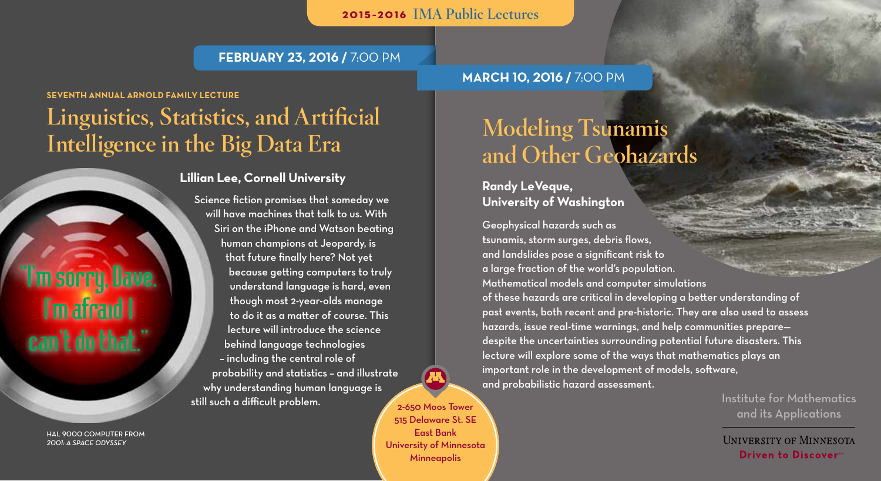2015–2016 IMA Public Lectures

### **February 23, 2016 /** 7:00 pm

### **Seventh Annual Arnold Family Lecture**

# Linguistics, Statistics, and Artificial Intelligence in the Big Data Era

### **Lillian Lee, Cornell University**

Science fiction promises that someday we will have machines that talk to us. With Siri on the iPhone and Watson beating human champions at Jeopardy, is that future finally here? Not yet because getting computers to truly understand language is hard, even though most 2-year-olds manage to do it as a matter of course. This lecture will introduce the science behind language technologies – including the central role of probability and statistics – and illustrate why understanding human language is still such a difficult problem.

HAL 9000 computer from *2001: A Space Odyssey*

"I'm sorry, Dave.

I'm afraid I

can't do that."

## **March 10, 2016 /** 7:00 pm

# Modeling Tsunamis and Other Geohazards

### **Randy LeVeque, University of Washington**

Geophysical hazards such as tsunamis, storm surges, debris flows, and landslides pose a significant risk to a large fraction of the world's population. Mathematical models and computer simulations of these hazards are critical in developing a better understanding of past events, both recent and pre-historic. They are also used to assess hazards, issue real-time warnings, and help communities prepare despite the uncertainties surrounding potential future disasters. This lecture will explore some of the ways that mathematics plays an important role in the development of models, software, and probabilistic hazard assessment.

> Institute for Mathematics and its Applications

**UNIVERSITY OF MINNESOTA Driven to Discovers** 

2-650 Moos Tower 515 Delaware St. SE East Bank University of Minnesota **Minneapolis**